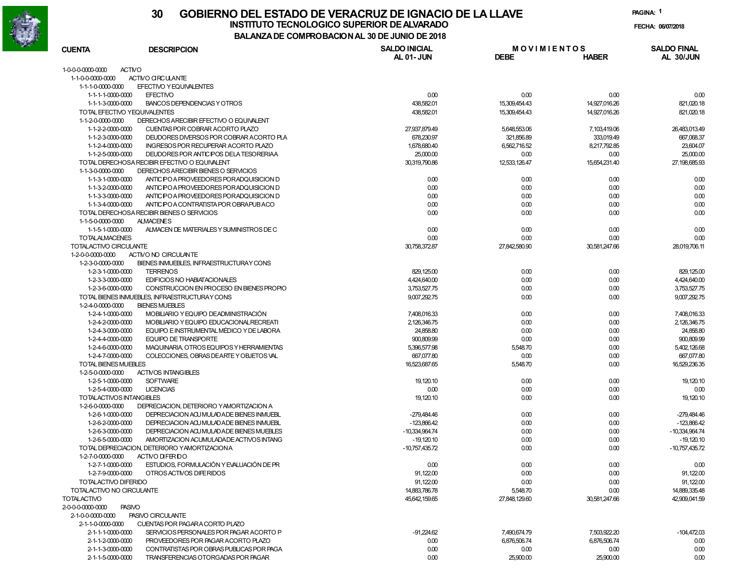

## **30 GOBIERNO DEL ESTADO DE VERACRUZ DE IGNACIO DE LA LLAVEINSTITUTO TECNOLOGICO SUPERIOR DE ALVARADO**

**PAGINA:1**

**FECHA: 06/07/2018**

**BALANZA DE COMPROBACION AL 30 DE JUNIO DE 2018**

| <b>CUENTA</b>                          | <b>DESCRIPCION</b>                              | <b>SALDO INICIAL</b>         | <b>MOVIMIENTOS</b> |               | <b>SALDO FINAL</b>           |
|----------------------------------------|-------------------------------------------------|------------------------------|--------------------|---------------|------------------------------|
|                                        |                                                 | <b>AL 01-JUN</b>             | <b>DEBE</b>        | <b>HABER</b>  | AL 30/JUN                    |
| 1-0-0-0-0000-0000                      | <b>ACTIVO</b>                                   |                              |                    |               |                              |
| 1-1-0-0-0000-0000                      | ACTIVO CIRCULANTE                               |                              |                    |               |                              |
| 1-1-1-0-0000-0000                      | EFECTIVO Y EQUIVALENTES                         |                              |                    |               |                              |
| 1-1-1-1-0000-0000                      | <b>EFECTIVO</b>                                 | 0.00                         | 0.00               | 0.00          | 0.00                         |
| 1-1-1-3-0000-0000                      | BANCOS DEPENDENCIAS Y OTROS                     | 438,582.01                   | 15,309,454.43      | 14,927,016.26 | 821,020.18                   |
|                                        | TOTAL EFECTIVO YEQUIVALENTES                    | 438,582.01                   | 15,309,454.43      | 14,927,016.26 | 821,020.18                   |
| 1-1-2-0-0000-0000                      | DERECHOS ARECIBIR EFECTIVO O EQUIVALENT         |                              |                    |               |                              |
| 1-1-2-2-0000-0000                      | CUENTAS POR COBRAR ACORTO PLAZO                 | 27,937,879.49                | 5,648,553.06       | 7,103,419.06  | 26,483,013.49                |
| 1-1-2-3-0000-0000                      | DEUDORES DIVERSOS POR COBRAR ACORTO PLA         | 678,230.97                   | 321,856.89         | 333,019.49    | 667,068.37                   |
| 1-1-2-4-0000-0000                      | INGRESOS POR RECUPERAR ACORTO PLAZO             | 1,678,680.40                 | 6,562,716.52       | 8,217,792.85  | 23,604.07                    |
| 1-1-2-5-0000-0000                      | DEUDORES POR ANTIC POS DELA TESORERIAA          | 25,000.00                    | 0.00               | 0.00          | 25,000.00                    |
|                                        | TOTAL DERECHOSA RECIBIR EFECTIVO O EQUIVALENT   | 30,319,790.86                | 12,533,126.47      | 15,654,231.40 | 27,198,685.93                |
| 1-1-3-0-0000-0000                      | DERECHOS ARECIBIR BIENES O SERVICIOS            |                              |                    |               |                              |
| 1-1-3-1-0000-0000                      | ANTIC PO A PROVEEDORES POR ADQUISICION D        | 0.00                         | 0.00               | 0.00          | 0.00                         |
| 1-1-3-2-0000-0000                      | ANTIC POA PROVEEDORES PORADQUISICION D          | 0.00                         | 0.00               | 0.00          | 0.00                         |
| 1-1-3-3-0000-0000                      | ANTIC POA PROVEEDORES PORADQUISICION D          | 0.00                         | 0.00               | 0.00          | 0.00                         |
| 1-1-3-4-0000-0000                      | ANTIC POA CONTRATISTA POR OBRAPUBACO            | 0.00                         | 0.00               | 0.00          | 0.00                         |
|                                        | TOTAL DERECHOSA RECIBIR BIENES O SERVICIOS      | 0.00                         | 0.00               | 0.00          | 0.00                         |
| 1-1-5-0-0000-0000                      | <b>ALMACENES</b>                                |                              |                    |               |                              |
| 1-1-5-1-0000-0000                      | ALMACEN DE MATERIALES Y SUMINISTROS DE C        | 0.00                         | 0.00               | 0.00          | 0.00                         |
| <b>TOTALALMACENES</b>                  |                                                 | 0.00                         | 0.00               | 0.00          | 0.00                         |
| TOTALACTIVO CIRCULANTE                 |                                                 | 30,758,372.87                | 27,842,580.90      | 30,581,247.66 | 28,019,706.11                |
| 1-2-0-0-0000-0000                      | ACTIVO NO CIRCULANTE                            |                              |                    |               |                              |
| 1-2-3-0-0000-0000                      | BIENES INMUEBLES, INFRAESTRUCTURAY CONS         |                              |                    |               |                              |
| 1-2-3-1-0000-0000                      | <b>TERRENOS</b><br>EDIFICIOS NO HABIATACIONALES | 829, 125.00                  | 0.00               | 0.00          | 829,125.00                   |
| 1-2-3-3-0000-0000<br>1-2-3-6-0000-0000 | CONSTRUCCION EN PROCESO EN BIENES PROPIO        | 4,424,640.00<br>3,753,527.75 | 0.00<br>0.00       | 0.00<br>0.00  | 4,424,640.00<br>3,753,527.75 |
|                                        | TOTAL BIENES INMUEBLES, INFRAESTRUCTURAY CONS   | 9,007,292.75                 | 0.00               | 0.00          | 9,007,292.75                 |
| 1-2-4-0-0000-0000                      | <b>BIENES MUEBLES</b>                           |                              |                    |               |                              |
| 1-2-4-1-0000-0000                      | MOBILIARIO Y EQUIPO DE ADMINISTRACIÓN           | 7,408,016.33                 | 0.00               | 0.00          | 7,408,016.33                 |
| 1-2-4-2-0000-0000                      | MOBILIARIO Y EQUIPO EDUCACIONAL RECREATI        | 2,126,346.75                 | 0.00               | 0.00          | 2,126,346.75                 |
| 1-2-4-3-0000-0000                      | EQUIPO E INSTRUMENTAL MÉDICO Y DE LABORA        | 24,858.80                    | 0.00               | 0.00          | 24,858.80                    |
| 1-2-4-4-0000-0000                      | <b>EQUIPO DE TRANSPORTE</b>                     | 900,809.99                   | 0.00               | 0.00          | 900,809.99                   |
| 1-2-4-6-0000-0000                      | MAQUINARIA, OTROS EQUIPOS Y HERRAMIENTAS        | 5,396,577.98                 | 5,548.70           | 0.00          | 5,402,126.68                 |
| 1-2-4-7-0000-0000                      | COLECCIONES, OBRAS DEARTE Y OBJETOS VAL         | 667,077.80                   | 0.00               | 0.00          | 667,077.80                   |
| <b>TOTAL BIENES MUEBLES</b>            |                                                 | 16,523,687.65                | 5,548.70           | 0.00          | 16,529,236.35                |
| 1-2-5-0-0000-0000                      | <b>ACTIVOS INTANGIBLES</b>                      |                              |                    |               |                              |
| 1-2-5-1-0000-0000                      | <b>SOFTWARE</b>                                 | 19, 120.10                   | 0.00               | 0.00          | 19,120.10                    |
| 1-2-5-4-0000-0000                      | <b>LICENCIAS</b>                                | 0.00                         | 0.00               | 0.00          | 0.00                         |
| TOTALACTIVOS INTANGIBLES               |                                                 | 19, 120.10                   | 0.00               | 0.00          | 19, 120.10                   |
| 1-2-6-0-0000-0000                      | DEPRECIACION, DETERIORO YAMORTIZACION A         |                              |                    |               |                              |
| 1-2-6-1-0000-0000                      | DEPRECIACION ACU MULADA DE BIENES INMUEBL       | -279,484.46                  | 0.00               | 0.00          | $-279,484.46$                |
| 1-2-6-2-0000-0000                      | DEPRECIACION ACU MULAD A DE BIENES INMUEBL      | $-123,866.42$                | 0.00               | 0.00          | -123,866.42                  |
| 1-2-6-3-0000-0000                      | DEPRECIACION ACU MULAD A DE BIENES MUEBLES      | -10,334,964.74               | 0.00               | 0.00          | -10,334,964.74               |
| 1-2-6-5-0000-0000                      | AMORTIZACION ACUMULADADE ACTIVOS INTANG         | $-19,120.10$                 | 0.00               | 0.00          | $-19,120.10$                 |
|                                        | TOTAL DEPRECIACION, DETERIORO YAMORTIZACIONA    | -10,757,435.72               | 0.00               | 0.00          | $-10,757,435.72$             |
| 1-2-7-0-0000-0000                      | ACTMO DIFERDO                                   |                              |                    |               |                              |
| 1-2-7-1-0000-0000                      | ESTUDIOS, FORMULACIÓN Y EVALUACIÓN DE PR        | 0.00                         | 0.00               | 0.00          | 0.00                         |
| 1-2-7-9-0000-0000                      | OTROS ACTIVOS DIFERIDOS                         | 91,122.00                    | 0.00               | 0.00          | 91,122.00                    |
| TOTALACTIVO DIFERIDO                   |                                                 | 91,122.00                    | 0.00               | 0.00          | 91,122.00                    |
| TOTALACTIVO NO CIRCULANTE              |                                                 | 14,883,786.78                | 5,548.70           | 0.00          | 14,889,335.48                |
| <b>TOTALACTIVO</b>                     |                                                 | 45,642,159.65                | 27,848,129.60      | 30,581,247.66 | 42,909,041.59                |
| 2-0-0-0-0000-0000                      | <b>PASIVO</b>                                   |                              |                    |               |                              |
| 2-1-0-0-0000-0000                      | PASIVO CIRCULANTE                               |                              |                    |               |                              |
| 2-1-1-0-0000-0000                      | CUENTAS POR PAGARA CORTO PLAZO                  |                              |                    |               |                              |
| 2-1-1-1-0000-0000                      | SERVICIOS PERSONALES POR PAGAR ACORTO P         | $-91,224.62$                 | 7,490,674.79       | 7,503,922.20  | $-104,472.03$                |
| 2-1-1-2-0000-0000                      | PROVEEDORES POR PAGAR ACORTO PLAZO              | 0.00                         | 6.876.506.74       | 6,876,506.74  | 0.00                         |
| 2-1-1-3-0000-0000                      | CONTRATISTAS POR OBRAS PUBLICAS POR PAGA        | 0.00                         | 0.00               | 0.00          | 0.00                         |
| 2-1-1-5-0000-0000                      | TRANSFERENCIAS OTORGADAS POR PAGAR              | 0.00                         | 25,900.00          | 25,900.00     | 0.00                         |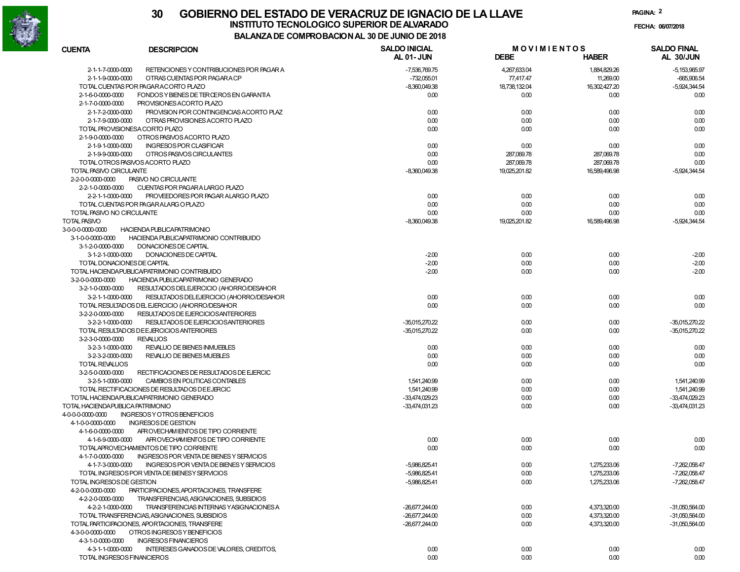

# **30 GOBIERNO DEL ESTADO DE VERACRUZ DE IGNACIO DE LA LLAVEINSTITUTO TECNOLOGICO SUPERIOR DE ALVARADO de la composición de la composición de la composición de la composición**<br>La calcada de composición de la composición de la calcada de la calcada de la calcada de la calcada de la

**PAGINA:2**

**FECHA:**

**BALANZA DE COMPROBACION AL 30 DE JUNIO DE 2018**

| <b>CUENTA</b>                          | <b>DESCRIPCION</b>                                                                           | <b>SALDO INICIAL</b>             | <b>MOVIMIENTOS</b> |               | <b>SALDO FINAL</b>               |
|----------------------------------------|----------------------------------------------------------------------------------------------|----------------------------------|--------------------|---------------|----------------------------------|
|                                        |                                                                                              | <b>AL 01-JUN</b>                 | <b>DEBE</b>        | <b>HABER</b>  | AL 30/JUN                        |
| 2-1-1-7-0000-0000                      | RETENCIONES Y CONTRIBUCIONES POR PAGAR A                                                     | -7,536,769.75                    | 4,267,633.04       | 1,884,829.26  | $-5,153,965.97$                  |
| 2-1-1-9-0000-0000                      | OTRAS CUENTAS POR PAGARA CP                                                                  | -732,055.01                      | 77,417.47          | 11,269.00     | $-665,906.54$                    |
|                                        | TOTAL CUENTAS POR PAGARACORTO PLAZO                                                          | $-8,360,049.38$                  | 18,738,132.04      | 16,302,427.20 | $-5,924,344.54$                  |
| 2-1-6-0-0000-0000                      | FONDOS Y BIENES DE TER ŒROS EN GARANTIA                                                      | 0.00                             | 0.00               | 0.00          | 0.00                             |
| 2-1-7-0-0000-0000                      | PROVISIONES ACORTO PLAZO                                                                     |                                  |                    |               |                                  |
| 2-1-7-2-0000-0000                      | PROVISION POR CONTINGENCIAS ACORTO PLAZ                                                      | 0.00                             | 0.00               | 0.00          | 0.00                             |
| 2-1-7-9-0000-0000                      | OTRAS PROVISIONES ACORTO PLAZO                                                               | 0.00                             | 0.00               | 0.00          | 0.00                             |
| TOTAL PROVISIONESA CORTO PLAZO         |                                                                                              | 0.00                             | 0.00               | 0.00          | 0.00                             |
| 2-1-9-0-0000-0000                      | OTROS PASIVOS ACORTO PLAZO                                                                   |                                  |                    |               |                                  |
| 2-1-9-1-0000-0000                      | <b>INGRESOS POR CLASIFICAR</b>                                                               | 0.00                             | 0.00               | 0.00          | 0.00                             |
| 2-1-9-9-0000-0000                      | OTROS PASIVOS CIRCULANTES                                                                    | 0.00                             | 287,069.78         | 287,069.78    | 0.00                             |
| TOTAL OTROS PASIVOS ACORTO PLAZO       |                                                                                              | 0.00                             | 287,069.78         | 287,069.78    | 0.00                             |
| TOTAL PASIVO CIRCULANTE                |                                                                                              | $-8,360,049.38$                  | 19.025.201.82      | 16.589.496.98 | $-5,924,344.54$                  |
| 2-2-0-0-0000-0000                      | PASIVO NO CIRCULANTE                                                                         |                                  |                    |               |                                  |
| 2-2-1-0-0000-0000                      | CUENTAS POR PAGARA LARGO PLAZO                                                               |                                  |                    |               |                                  |
| 2-2-1-1-0000-0000                      | PROVEEDORES POR PAGAR ALARGO PLAZO                                                           | 0.00                             | 0.00               | 0.00          | 0.00                             |
|                                        | TOTAL CUENTAS POR PAGARALARG O PLAZO                                                         | 0.00                             | 0.00               | 0.00          | 0.00                             |
| TOTAL PASIVO NO CIRCULANTE             |                                                                                              | 0.00                             | 0.00               | 0.00          | 0.00                             |
| <b>TOTAL PASIVO</b>                    |                                                                                              | $-8,360,049.38$                  | 19,025,201.82      | 16,589,496.98 | $-5,924,344.54$                  |
| 3-0-0-0-0000-0000                      | <b>HACIENDA PUBLICAPATRIMONIO</b>                                                            |                                  |                    |               |                                  |
| 3-1-0-0-0000-0000                      | HACIENDA PUBLICAPATRIMONIO CONTRIBUIDO                                                       |                                  |                    |               |                                  |
| 3-1-2-0-0000-0000                      | DONACIONES DE CAPITAL                                                                        |                                  |                    |               |                                  |
| 3-1-2-1-0000-0000                      | DONACIONES DE CAPITAL                                                                        | $-2.00$                          | 0.00               | 0.00          | $-2.00$                          |
| TOTAL DONACIONES DE CAPITAL            |                                                                                              | $-2.00$                          | 0.00               | 0.00          | $-2.00$                          |
|                                        | TOTAL HACIENDA PUBLICA/PATRIMONIO CONTRIBUIDO                                                | $-2.00$                          | 0.00               | 0.00          | $-2.00$                          |
| 3-2-0-0-0000-0000                      | HACIENDA PUBLICAPATRIMONIO GENERADO                                                          |                                  |                    |               |                                  |
| 3-2-1-0-0000-0000                      | RESULTADOS DEL EJERCICIO (AHORRO/DESAHOR                                                     |                                  |                    |               |                                  |
| 3-2-1-1-0000-0000                      | RESULTADOS DEL EJERCICIO (AHORRO/DESAHOR                                                     | 0.00                             | 0.00               | 0.00          | 0.00                             |
|                                        | TOTAL RESULTADOS DEL EJERCICIO (AHORRO/DESAHOR                                               | 0.00                             | 0.00               | 0.00          | 0.00                             |
| 3-2-2-0-0000-0000                      | RESULTADOS DE EJERCICIOSANTERIORES                                                           |                                  |                    |               |                                  |
| 3-2-2-1-0000-0000                      | RESULTADOS DE EJERCICIOSANTERIORES                                                           | -35,015,270.22                   | 0.00               | 0.00          | -35,015,270.22                   |
|                                        | TOTAL RESULTADOS DE EJERCICIOS ANTERIORES                                                    | -35,015,270.22                   | 0.00               | 0.00          | -35,015,270.22                   |
| 3-2-3-0-0000-0000                      | <b>REVALUOS</b>                                                                              |                                  |                    |               |                                  |
| 3-2-3-1-0000-0000                      | REVALUO DE BIENES INMUEBLES                                                                  | 0.00                             | 0.00               | 0.00          | 0.00                             |
| 3-2-3-2-0000-0000                      | REVALUO DE BIENES MUEBLES                                                                    | 0.00                             | 0.00               | 0.00          | 0.00                             |
| <b>TOTAL REVALUOS</b>                  |                                                                                              | 0.00                             | 0.00               | 0.00          | 0.00                             |
|                                        |                                                                                              |                                  |                    |               |                                  |
| 3-2-5-0-0000-0000<br>3-2-5-1-0000-0000 | RECTIFICACIONES DE RESULTADOS DE EJERCIC                                                     |                                  |                    |               |                                  |
|                                        | CAMBIOS EN POLITICAS CONTABLES                                                               | 1,541,240.99                     | 0.00               | 0.00          | 1,541,240.99                     |
|                                        | TOTAL RECTIFICACIONES DE RESULTADOS DE EJERCIC<br>TOTAL HACIENDA PUBLICA/PATRIMONIO GENERADO | 1,541,240.99                     | 0.00               | 0.00          | 1,541,240.99                     |
|                                        |                                                                                              | -33,474,029.23<br>-33.474.031.23 | 0.00               | 0.00          | -33,474,029.23<br>-33.474.031.23 |
| TOTAL HACIENDA PUBLICA PATRIMONIO      | <b>INGRESOS Y OTROS BENEFICIOS</b>                                                           |                                  | 0.00               | 0.00          |                                  |
| 4-0-0-0-0000-0000<br>4-1-0-0-0000-0000 | INGRESOS DE GESTION                                                                          |                                  |                    |               |                                  |
| 4-1-6-0-0000-0000                      | AFROVECHAMIENTOS DE TIPO CORRIENTE                                                           |                                  |                    |               |                                  |
| 4-1-6-9-0000-0000                      | AFROVECHAMIENTOS DE TIPO CORRIENTE                                                           | 0.00                             | 0.00               | 0.00          | 0.00                             |
|                                        |                                                                                              | 0.00                             |                    | 0.00          | 0.00                             |
|                                        | TOTALAPROVECHAMIENTOS DE TIPO CORRIENTE                                                      |                                  | 0.00               |               |                                  |
| 4-1-7-0-0000-0000                      | INGRESOS POR VENTA DE BIENES Y SERVICIOS                                                     |                                  |                    |               |                                  |
|                                        | 4-1-7-3-0000-0000 INGRESOS POR VENTA DE BIENES Y SERVICIOS                                   | -5,986,825.41                    | 0.00               | 1,275,233.06  | $-7,262,058.47$                  |
|                                        | TOTAL INGRESOS POR VENTA DE BIENESY SERVICIOS                                                | $-5,986,825.41$                  | 0.00               | 1,275,233.06  | -7,262,058.47                    |
| TOTAL INGRESOS DE GESTION              |                                                                                              | -5,986,825.41                    | 0.00               | 1,275,233.06  | -7,262,058.47                    |
| 4-2-0-0-0000-0000                      | PARTICIPACIONES, APORTACIONES, TRANSFERE                                                     |                                  |                    |               |                                  |
| 4-2-2-0-0000-0000                      | TRANSFERENCIAS, ASIGNACIONES, SUBSIDIOS                                                      |                                  |                    |               |                                  |
| 4-2-2-1-0000-0000                      | TRANSFERENCIAS INTERNAS YASIGNACIONES A                                                      | -26,677,244.00                   | 0.00               | 4,373,320.00  | -31.050.564.00                   |
|                                        | TOTAL TRANSFERENCIAS, ASIGNACIONES, SUBSIDIOS                                                | $-26.677.244.00$                 | 0.00               | 4,373,320.00  | -31,050,564.00                   |
|                                        | TOTAL PARTICIPACIONES, APORTACIONES, TRANSFERE                                               | $-26,677,244.00$                 | 0.00               | 4.373.320.00  | -31,050,564.00                   |
| 4-3-0-0-0000-0000                      | OTROS INGRESOS Y BENEFICIOS                                                                  |                                  |                    |               |                                  |
| 4-3-1-0-0000-0000                      | <b>INGRESOS FINANCIEROS</b>                                                                  |                                  |                    |               |                                  |
| 4-3-1-1-0000-0000                      | INTERESES GANADOS DE VALORES, CREDITOS,                                                      | 0.00                             | 0.00               | 0.00          | 0.00                             |
| TOTAL INGRESOS FINANCIEROS             |                                                                                              | 0.00                             | 0.00               | 0.00          | 0.00                             |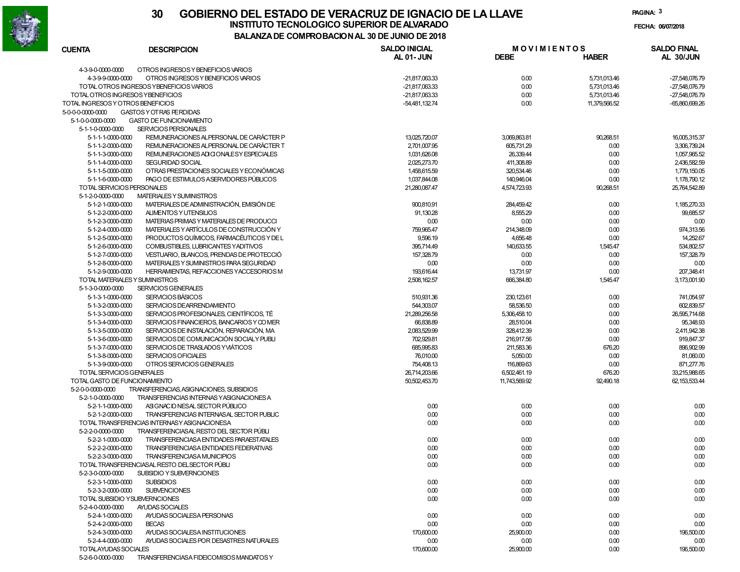

## **30 GOBIERNO DEL ESTADO DE VERACRUZ DE IGNACIO DE LA LLAVEFECHA: 06/07/2018 INSTITUTO TECNOLOGICO SUPERIOR DE ALVARADO**

**PAGINA:3**

**BALANZA DE COMPROBACION AL 30 DE JUNIO DE 2018**

| <b>CUENTA</b>                     | <b>DESCRIPCION</b>                                                                 | <b>SALDO INICIAL</b> | <b>MOVIMIENTOS</b> |               | <b>SALDO FINAL</b> |
|-----------------------------------|------------------------------------------------------------------------------------|----------------------|--------------------|---------------|--------------------|
|                                   |                                                                                    | <b>AL 01-JUN</b>     | <b>DEBE</b>        | <b>HABER</b>  | AL 30/JUN          |
| 4-3-9-0-0000-0000                 | OTROS INGRESOS Y BENEFICIOS VARIOS                                                 |                      |                    |               |                    |
| 43990000-0000                     | OTROS INGRESOS Y BENEFICIOS VARIOS                                                 | -21,817,063.33       | 0.00               | 5,731,013.46  | -27,548,076.79     |
|                                   | TOTAL OTROS INGRESOS YBENEFICIOS VARIOS                                            | -21,817,063.33       | 0.00               | 5,731,013.46  | -27,548,076.79     |
| TOTAL OTROS INGRESOS YBENEFICIOS  |                                                                                    | -21,817,063.33       | 0.00               | 5,731,013.46  | -27,548,076.79     |
| TOTAL INGRESOS Y OTROS BENEFICIOS |                                                                                    | -54.481.132.74       | 0.00               | 11,379,566.52 | $-65,860,699.26$   |
| 5-0-0-0-0000-0000                 | <b>GASTOS Y OT RAS FERDIDAS</b>                                                    |                      |                    |               |                    |
| 5-1-0-0-0000-0000                 | <b>GASTO DE FUNCIONAMIENTO</b>                                                     |                      |                    |               |                    |
| 5-1-1-0-0000-0000                 | SERVICIOS PERSONALES                                                               |                      |                    |               |                    |
| 5-1-1-1-0000-0000                 |                                                                                    |                      |                    |               |                    |
|                                   | REMUNERACIONES ALPERSONAL DE CARÁCTER P<br>REMUNERACIONES ALPERSONAL DE CARÁCTER T | 13,025,720.07        | 3,069,863.81       | 90,268.51     | 16,005,315.37      |
| 5-1-1-2-0000-0000                 |                                                                                    | 2,701,007.95         | 605,731.29         | 0.00          | 3,306,739.24       |
| 5-1-1-3-0000-0000                 | REMUNERACIONES ADI CIONALE SY ESPECIALES                                           | 1,031,626.08         | 26,339.44          | 0.00          | 1,057,965.52       |
| 5-1-1-4-0000-0000                 | <b>SEGURIDAD SOCIAL</b>                                                            | 2,025,273.70         | 411,308.89         | 0.00          | 2,436,582.59       |
| 5-1-1-5-0000-0000                 | OTRAS PRESTACIONES SOCIALES Y ECONÓMICAS                                           | 1,458,615.59         | 320,534.46         | 0.00          | 1,779,150.05       |
| 5-1-1-6-0000-0000                 | PAGO DE ESTIMULOS ASERVIDORES PÚBLICOS                                             | 1,037,844.08         | 140,946.04         | 0.00          | 1,178,790.12       |
| TOTAL SERVICIOS PERSONALES        |                                                                                    | 21,280,087.47        | 4,574,723.93       | 90,268.51     | 25,764,542.89      |
| 5-1-2-0-0000-0000                 | <b>MATERIALES Y SUMINISTROS</b>                                                    |                      |                    |               |                    |
| 5-1-2-1-0000-0000                 | MATERIALES DE ADMINISTRACIÓN, EMISIÓN DE                                           | 900.810.91           | 284,459.42         | 0.00          | 1,185,270.33       |
| 5-1-2-2-0000-0000                 | ALIMENTOS Y UTENSILIOS                                                             | 91,130.28            | 8,555.29           | 0.00          | 99,685.57          |
| 5-1-2-3-0000-0000                 | MATERIAS PRIMAS Y MATERIALES DE PRODUCCI                                           | 0.00                 | 0.00               | 0.00          | 0.00               |
| 5-1-2-4-0000-0000                 | MATERIALES Y ARTÍCULOS DE CONSTRUCCIÓN Y                                           | 759,965.47           | 214,348.09         | 0.00          | 974,313.56         |
| 5-1-2-5-0000-0000                 | PRODUCTOS QUÍMICOS. FARMACÉUTICOS Y DE L                                           | 9,596.19             | 4,656.48           | 0.00          | 14.252.67          |
| 5-1-2-6-0000-0000                 | COMBUSTIBLES, LUBRICANTES YADITIVOS                                                | 395,714.49           | 140,633.55         | 1,545.47      | 534,802.57         |
| 5-1-2-7-0000-0000                 | VESTUARIO, BLANCOS, PRENDAS DE PROTECCIÓ                                           | 157,328.79           | 0.00               | 0.00          | 157,328.79         |
| 5-1-2-8-0000-0000                 | MATERIALES Y SUMINISTROS PARA SEGURIDAD                                            | 0.00                 | 0.00               | 0.00          | 0.00               |
| 5-1-2-9-0000-0000                 | HERRAMIENTAS, REFACCIONES YACCESORIOS M                                            | 193,616.44           | 13,731.97          | 0.00          | 207.348.41         |
| TOTAL MATERIALES Y SUMINISTROS    |                                                                                    | 2,508,162.57         | 666,384.80         | 1,545.47      | 3,173,001.90       |
| 5-1-3-0-0000-0000                 | <b>SERVICIOS GENERALES</b>                                                         |                      |                    |               |                    |
| 5-1-3-1-0000-0000                 | <b>SERVICIOS BÁSICOS</b>                                                           | 510,931.36           | 230, 123.61        | 0.00          | 741,054.97         |
| 5-1-3-2-0000-0000                 | SERVICIOS DEARRENDAMIENTO                                                          | 544,303.07           | 58,536.50          | 0.00          | 602.839.57         |
| 5-1-3-3-0000-0000                 | SERVICIOS PROFESIONALES, CIENTÍFICOS, TÉ                                           | 21,289,256.58        | 5,306,458.10       | 0.00          | 26.595.714.68      |
| 5-1-3-4-0000-0000                 | SERVICIOS FINANCIEROS, BANCARIOS Y COMER                                           | 66,838.89            | 28,510.04          | 0.00          | 95,348.93          |
| 5-1-3-5-0000-0000                 | SERVICIOS DE INSTALACIÓN, REPARACIÓN, MA                                           | 2,083,529.99         | 328,412.39         | 0.00          | 2,411,942.38       |
| 5-1-3-6-0000-0000                 | SERVICIOS DE COMUNICACIÓN SOCIALY PUBLI                                            | 702,929.81           | 216,917.56         | 0.00          | 919,847.37         |
| 5-1-3-7-0000-0000                 | SERVICIOS DE TRASLADOS YVIÁTICOS                                                   | 685,995.83           | 211,583.36         | 676.20        | 896,902.99         |
|                                   | <b>SERVICIOS OFICIALES</b>                                                         |                      |                    |               |                    |
| 5-1-3-8-0000-0000                 |                                                                                    | 76,010.00            | 5,050.00           | 0.00          | 81,060.00          |
| 5-1-3-9-0000-0000                 | OTROS SERVICIOS GENERALES                                                          | 754,408.13           | 116,869.63         | 0.00          | 871,277.76         |
| TOTAL SERVICIOS GENERALES         |                                                                                    | 26,714,203.66        | 6,502,461.19       | 676.20        | 33,215,988.65      |
| TOTAL GASTO DE FUNCIONAMIENTO     |                                                                                    | 50,502,453.70        | 11,743,569.92      | 92,490.18     | 62, 153, 533. 44   |
| 5-2-0-0-0000-0000                 | TRANSFERENCIAS, ASIGNACIONES, SUBSIDIOS                                            |                      |                    |               |                    |
| 5-2-1-0-0000-0000                 | TRANSFERENCIAS INTERNAS YASIGNACIONES A                                            |                      |                    |               |                    |
| 5-2-1-1-0000-0000                 | ASIGNACIONES AL SECTOR PÚBLICO                                                     | 0.00                 | 0.00               | 0.00          | 0.00               |
| 5-2-1-2-0000-0000                 | TRANSFERENCIAS INTERNAS AL SECTOR PUBLIC                                           | 0.00                 | 0.00               | 0.00          | 0.00               |
|                                   | TOTAL TRANSFERENCIAS INTERNASY ASIGNACIONESA                                       | 0.00                 | 0.00               | 0.00          | 0.00               |
| 5-2-2-0-0000-0000                 | TRANSFERENCIASAL RESTO DEL SECTOR PÚBLI                                            |                      |                    |               |                    |
| 5-2-2-1-0000-0000                 | TRANSFERENCIASA ENTIDADES PARAESTATALES                                            | 0.00                 | 0.00               | 0.00          | 0.00               |
| 5-2-2-2-0000-0000                 | TRANSFERENCIASA ENTIDADES FEDERATIVAS                                              | 0.00                 | 0.00               | 0.00          | 0.00               |
| 5-2-2-3-0000-0000                 | TRANSFERENCIASA MUNICIPIOS                                                         | 0.00                 | 0.00               | 0.00          | 0.00               |
|                                   | TOTAL TRANSFERENCIASAL RESTO DEL SECTOR PUBLI                                      | 0.00                 | 0.00               | 0.00          | 0.00               |
| 5-2-3-0-0000-0000                 | SUBSIDIO Y SUBVERNCIONES                                                           |                      |                    |               |                    |
| 5-2-3-1-0000-0000                 | <b>SUBSIDIOS</b>                                                                   | 0.00                 | 0.00               | 0.00          | 0.00               |
| 5-2-3-2-0000-0000                 | <b>SUBVENCIONES</b>                                                                | 0.00                 | 0.00               | 0.00          | 0.00               |
|                                   | TOTAL SUBSIDIO YSUBVERNCIONES                                                      | 0.00                 | 0.00               | 0.00          | 0.00               |
| 5-2-4-0-0000-0000                 | AYUDAS SOCIALES                                                                    |                      |                    |               |                    |
| 5-2-4-1-0000-0000                 | AYUDAS SOCIALESA PERSONAS                                                          | 0.00                 | 0.00               | 0.00          | 0.00               |
| 5-2-4-2-0000-0000                 | <b>BECAS</b>                                                                       | 0.00                 | 0.00               | 0.00          | 0.00               |
| 5-2-4-3-0000-0000                 | AYUDAS SOCIALESA INSTITUCIONES                                                     | 170,600.00           | 25,900.00          | 0.00          | 196,500.00         |
| 5-2-4-4-0000-0000                 | AYUDAS SOCIALES POR DESASTRES NATURALES                                            | 0.00                 | 0.00               |               |                    |
|                                   |                                                                                    |                      |                    | 0.00          | 0.00               |
| TOTALAYUDAS SOCIALES              |                                                                                    | 170,600.00           | 25,900.00          | 0.00          | 196,500.00         |
| 5-2-6-0-0000-0000                 | TRANSFERENCIASA FIDEICOMISOS MANDATOS Y                                            |                      |                    |               |                    |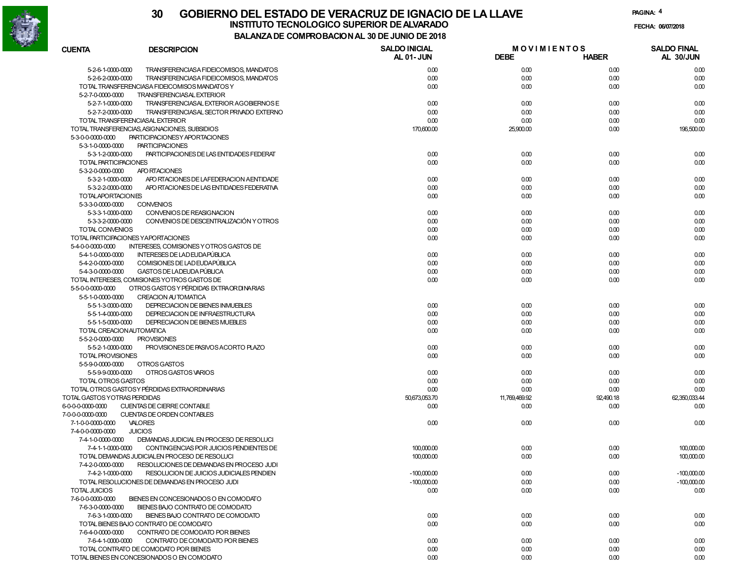

#### **30 GOBIERNO DEL ESTADO DE VERACRUZ DE IGNACIO DE LA LLAVEFECHA: 06/07/2018 BALANZA DE COMPROBACION AL 30 DE JUNIO DE 2018INSTITUTO TECNOLOGICO SUPERIOR DE ALVARADO**

**PAGINA:4**

| CUENTA                       | <b>DESCRIPCION</b>                                                                       | <b>SALDO INICIAL</b><br><b>AL 01-JUN</b> | <b>MOVIMIENTOS</b><br><b>DEBE</b> | <b>HABER</b> | <b>SALDO FINAL</b><br>AL 30/JUN |
|------------------------------|------------------------------------------------------------------------------------------|------------------------------------------|-----------------------------------|--------------|---------------------------------|
| 5-2-6-1-0000-0000            | TRANSFERENCIASA FIDEICOMISOS, MANDATOS                                                   | 0.00                                     | 0.00                              | 0.00         | 0.00                            |
| 5-2-6-2-0000-0000            | TRANSFERENCIASA FIDEICOMISOS, MANDATOS                                                   | 0.00                                     | 0.00                              | 0.00         | 0.00                            |
|                              | TOTAL TRANSFERENCIASA FIDEICOMISOS MANDATOS Y                                            | 0.00                                     | 0.00                              | 0.00         | 0.00                            |
| 5-2-7-0-0000-0000            | <b>TRANSFERENCIASAL EXTERIOR</b>                                                         |                                          |                                   |              |                                 |
|                              | TRANSFERENCIASAL EXTERIOR AGOBIERNOS E                                                   |                                          |                                   |              | 0.00                            |
| 5-2-7-1-0000-0000            |                                                                                          | 0.00                                     | 0.00                              | 0.00         |                                 |
| 5-2-7-2-0000-0000            | TRANSFERENCIASAL SECTOR PRIVADO EXTERNO                                                  | 0.00                                     | 0.00                              | 0.00         | 0.00                            |
|                              | TOTAL TRANSFERENCIASAL EXTERIOR                                                          | 0.00                                     | 0.00                              | 0.00         | 0.00                            |
|                              | TOTAL TRANSFERENCIAS, ASIGNACIONES, SUBSIDIOS                                            | 170,600.00                               | 25,900.00                         | 0.00         | 196,500.00                      |
| 5-3-0-0-0000-0000            | PARTICIPACIONESY APORTACIONES                                                            |                                          |                                   |              |                                 |
| 5-3-1-0-0000-0000            | <b>PARTICIPACIONES</b>                                                                   |                                          |                                   |              |                                 |
| 5-3-1-2-0000-0000            | PARTICIPACIONES DE LAS ENTIDADES FEDERAT                                                 | 0.00                                     | 0.00                              | 0.00         | 0.00                            |
| TOTAL PARTICIPACIONES        |                                                                                          | 0.00                                     | 0.00                              | 0.00         | 0.00                            |
| 5-3-2-0-0000-0000            | <b>APO RTACIONES</b>                                                                     |                                          |                                   |              |                                 |
| 5-3-2-1-0000-0000            | APO RTACIONES DE LA FEDERACION A ENTIDADE                                                | 0.00                                     | 0.00                              | 0.00         | 0.00                            |
| 5-3-2-2-0000-0000            | APO RTACIONES DE LAS ENTIDADES FEDERATIVA                                                | 0.00                                     | 0.00                              | 0.00         | 0.00                            |
| TOTALAPORTACIONES            |                                                                                          | 0.00                                     | 0.00                              | 0.00         | 0.00                            |
| 5-3-3-0-0000-0000            | <b>CONVENIOS</b>                                                                         |                                          |                                   |              |                                 |
| 5-3-3-1-0000-0000            | CONVENIOS DE REASIGNACION                                                                | 0.00                                     | 0.00                              | 0.00         | 0.00                            |
| 5-3-3-2-0000-0000            | CONVENIOS DE DESCENTRALIZACIÓN Y OTROS                                                   | 0.00                                     | 0.00                              | 0.00         | 0.00                            |
| TOTAL CONVENIOS              |                                                                                          | 0.00                                     | 0.00                              | 0.00         | 0.00                            |
|                              | TOTAL PARTICIPACIONES YAPORTACIONES                                                      | 0.00                                     | 0.00                              | 0.00         | 0.00                            |
| 5-4-0-0-0000-0000            | <b>INTERESES, COMISIONES Y OTROS GASTOS DE</b>                                           |                                          |                                   |              |                                 |
| 5-4-1-0-0000-0000            | INTERESES DE LAD EUDAPÚBLICA                                                             | 0.00                                     | 0.00                              | 0.00         | 0.00                            |
| 5-4-2-0-0000-0000            | COMISIONES DE LAD EUDAPÚBLICA                                                            | 0.00                                     | 0.00                              | 0.00         | 0.00                            |
| 5-4-3-0-0000-0000            | GASTOS DE LA DEUDA PÚBLICA                                                               | 0.00                                     | 0.00                              | 0.00         | 0.00                            |
|                              | TOTAL INTERESES, COMISIONES YOTROS GASTOS DE                                             | 0.00                                     | 0.00                              | 0.00         | 0.00                            |
| 5-5-0-0-0000-0000            | OTROS GASTOS Y PÉRDIDAS EXTRA OR DI NARIAS                                               |                                          |                                   |              |                                 |
| 5-5-1-0-0000-0000            | <b>CREACION AUTOMATICA</b>                                                               |                                          |                                   |              |                                 |
| 5-5-1-3-0000-0000            | DEPRECIACION DE BIENES INMUEBLES                                                         | 0.00                                     | 0.00                              | 0.00         | 0.00                            |
| 5-5-1-4-0000-0000            | DEPRECIACION DE INFRAESTRUCTURA                                                          | 0.00                                     | 0.00                              | 0.00         | 0.00                            |
| 5-5-1-5-0000-0000            | DEPRECIACION DE BIENES MUEBLES                                                           | 0.00                                     | 0.00                              | 0.00         | 0.00                            |
| TOTAL CREACION AUTOMATICA    |                                                                                          | 0.00                                     | 0.00                              | 0.00         | 0.00                            |
| 5-5-2-0-0000-0000            | <b>PROVISIONES</b>                                                                       |                                          |                                   |              |                                 |
| 5-5-2-1-0000-0000            | PROVISIONES DE PASIVOS ACORTO PLAZO                                                      | 0.00                                     | 0.00                              | 0.00         | 0.00                            |
| <b>TOTAL PROVISIONES</b>     |                                                                                          | 0.00                                     | 0.00                              | 0.00         | 0.00                            |
| 5-5-9-0-0000-0000            | OTROS GASTOS                                                                             |                                          |                                   |              |                                 |
| 5-5-9-9-0000-0000            | OTROS GASTOS VARIOS                                                                      | 0.00                                     | 0.00                              | 0.00         | 0.00                            |
| <b>TOTAL OTROS GASTOS</b>    |                                                                                          | 0.00                                     | 0.00                              | 0.00         | 0.00                            |
|                              | TOTAL OTROS GASTOSY PÉRDIDAS EXTRAORDINARIAS                                             | 0.00                                     | 0.00                              | 0.00         | 0.00                            |
| TOTAL GASTOS YOTRAS PERDIDAS |                                                                                          | 50,673,053.70                            | 11,769,469.92                     | 92,490.18    | 62,350,033.44                   |
| 6-0-0-0-0000-0000            | CUENTAS DE CIERRE CONTABLE                                                               | 0.00                                     | 0.00                              | 0.00         | 0.00                            |
| 7-0-0-0-0000-0000            | CUENTAS DE ORDEN CONTABLES                                                               |                                          |                                   |              |                                 |
| 7-1-0-0-0000-0000            | VALORES                                                                                  | 0.00                                     | 0.00                              | 0.00         | 0.00                            |
| 7-4-0-0-0000-0000            | <b>JUICIOS</b>                                                                           |                                          |                                   |              |                                 |
|                              |                                                                                          |                                          |                                   |              |                                 |
| 7-4-1-0-0000-0000            | DEMANDAS JUDICIAL EN PROCESO DE RESOLUCI                                                 |                                          |                                   |              |                                 |
| 7-4-1-1-0000-0000            | CONTINGENCIAS POR JUICIOS PENDIENTES DE<br>TOTAL DEMANDAS JUDICIALEN PROCESO DE RESOLUCI | 100,000.00                               | 0.00                              | 0.00         | 100,000.00                      |
|                              |                                                                                          | 100,000.00                               | 0.00                              | 0.00         | 100,000.00                      |
| 7-4-2-0-0000-0000            | RESOLUCIONES DE DEMANDAS EN PROCESO JUDI                                                 |                                          |                                   |              |                                 |
| 7-4-2-1-0000-0000            | RESOLUCION DE JUICIOS JUDICIALES PENDIEN                                                 | $-100,000.00$                            | 0.00                              | 0.00         | $-100.000.00$                   |
|                              | TOTAL RESOLUCIONES DE DEMANDAS EN PROCESO JUDI                                           | $-100,000.00$                            | 0.00                              | 0.00         | $-100,000.00$                   |
| <b>TOTAL JUICIOS</b>         |                                                                                          | 0.00                                     | 0.00                              | 0.00         | 0.00                            |
| 7-6-0-0-0000-0000            | BIENES EN CONCESIONADOS O EN COMODATO                                                    |                                          |                                   |              |                                 |
| 7-6-3-0-0000-0000            | BIENES BAJO CONTRATO DE COMODATO                                                         |                                          |                                   |              |                                 |
| 7-6-3-1-0000-0000            | BIENES BAJO CONTRATO DE COMODATO                                                         | 0.00                                     | 0.00                              | 0.00         | 0.00                            |
|                              | TOTAL BIENES BAJO CONTRATO DE COMODATO                                                   | 0.00                                     | 0.00                              | 0.00         | 0.00                            |
| 7-6-4-0-0000-0000            | CONTRATO DE COMODATO POR BIENES                                                          |                                          |                                   |              |                                 |
| 7-6-4-1-0000-0000            | CONTRATO DE COMODATO POR BIENES                                                          | 0.00                                     | 0.00                              | 0.00         | 0.00                            |
|                              | TOTAL CONTRATO DE COMODATO POR BIENES                                                    | 0.00                                     | 0.00                              | 0.00         | 0.00                            |
|                              | TOTAL BIENES EN CONCESIONADOS O EN COMODATO                                              | 0.00                                     | 0.00                              | 0.00         | 0.00                            |
|                              |                                                                                          |                                          |                                   |              |                                 |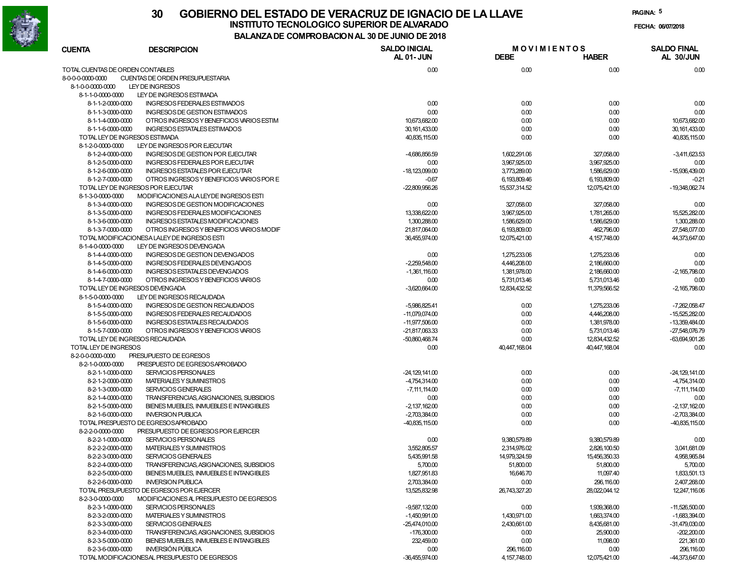

# **30 GOBIERNO DEL ESTADO DE VERACRUZ DE IGNACIO DE LA LLAVEINSTITUTO TECNOLOGICO SUPERIOR DE ALVARADO**

**PAGINA:5**

**FECHA: 06/07/2018**

**BALANZA DE COMPROBACION AL 30 DE JUNIO DE 2018**

| <b>CUENTA</b>                    | <b>DESCRIPCION</b>                            | <b>SALDO INICIAL</b> | <b>MOVIMIENTOS</b> |                | <b>SALDO FINAL</b> |  |
|----------------------------------|-----------------------------------------------|----------------------|--------------------|----------------|--------------------|--|
|                                  |                                               | <b>AL 01-JUN</b>     | <b>DEBE</b>        | <b>HABER</b>   | AL 30/JUN          |  |
| TOTAL CUENTAS DE ORDEN CONTABLES |                                               | 0.00                 | 0.00               | 0.00           | 0.00               |  |
| 8-0-0-0-0000-0000                | CUENTAS DE ORDEN PRESUPUESTARIA               |                      |                    |                |                    |  |
| 8-1-0-0-0000-0000                | LEY DE INGRESOS                               |                      |                    |                |                    |  |
| 8-1-1-0-0000-0000                | LEY DE INGRESOS ESTIMADA                      |                      |                    |                |                    |  |
| 8-1-1-2-0000-0000                | INGRESOS FEDERALES ESTIMADOS                  | 0.00                 | 0.00               | 0.00           | 0.00               |  |
| 8-1-1-3-0000-0000                | INGRESOS DE GESTION ESTIMADOS                 | 0.00                 | 0.00               | 0.00           | 0.00               |  |
| 8-1-1-4-0000-0000                | OTROS INGRESOS Y BENEFICIOS VARIOS ESTIM      | 10,673,682.00        | 0.00               | 0.00           | 10,673,682.00      |  |
| 8-1-1-6-0000-0000                | INGRESOS ESTATALES ESTIMADOS                  | 30,161,433.00        | 0.00               | 0.00           | 30,161,433.00      |  |
| TOTAL LEY DE INGRESOS ESTIMADA   |                                               | 40,835,115.00        | 0.00               | 0.00           | 40.835.115.00      |  |
| 8-1-2-0-0000-0000                | LEY DE INGRESOS POR EJECUTAR                  |                      |                    |                |                    |  |
| 8-1-2-4-0000-0000                | <b>INGRESOS DE GESTION POR EJECUTAR</b>       | $-4,686,856.59$      | 1,602,291.06       | 327,058.00     | $-3,411,623.53$    |  |
| 8-1-2-5-0000-0000                | <b>INGRESOS FEDERALES POR EJECUTAR</b>        | 0.00                 | 3,967,925.00       | 3,967,925.00   | 0.00               |  |
| 8-1-2-6-0000-0000                | INGRESOS ESTATALES POR EJECUTAR               | $-18,123,099.00$     | 3,773,289.00       | 1,586,629.00   | -15,936,439.00     |  |
| 8-1-2-7-0000-0000                | OTROS INGRESOS Y BENEFICIOS VARIOS POR E      | $-0.67$              | 6,193,809.46       | 6,193,809.00   | $-0.21$            |  |
|                                  | TOTAL LEY DE INGRESOS POR EJECUTAR            | $-22,809,956.26$     | 15,537,314.52      | 12,075,421.00  | -19,348,062.74     |  |
| 8-1-3-0-0000-0000                | MODIFICACIONES ALA LEYDE INGRESOS ESTI        |                      |                    |                |                    |  |
| 8-1-3-4-0000-0000                | INGRESOS DE GESTION MODIFICACIONES            | 0.00                 | 327,058.00         | 327,058.00     | 0.00               |  |
| 8-1-3-5-0000-0000                | INGRESOS FEDERALES MODIFICACIONES             | 13,338,622.00        | 3,967,925.00       | 1,781,265.00   | 15,525,282.00      |  |
| 8-1-3-6-0000-0000                | INGRESOS ESTATALES MODIFICACIONES             | 1,300,288.00         | 1,586,629.00       | 1,586,629.00   | 1,300,288.00       |  |
| 8-1-3-7-0000-0000                | OTROS INGRESOS Y BENEFICIOS VARIOS MODIF      | 21,817,064.00        | 6,193,809.00       | 462,796.00     | 27,548,077.00      |  |
|                                  | TOTAL MODIFICACIONESA LALEY DE INGRESOS ESTI  | 36,455,974.00        | 12,075,421.00      | 4, 157, 748.00 | 44,373,647.00      |  |
| 8-1-4-0-0000-0000                | LEY DE INGRESOS DEVENGADA                     |                      |                    |                |                    |  |
| 8-1-4-4-0000-0000                | INGRESOS DE GESTION DEVENGADOS                | 0.00                 | 1,275,233.06       | 1,275,233.06   | 0.00               |  |
| 8-1-4-5-0000-0000                | INGRESOS FEDERALES DEVENGADOS                 | $-2.259.548.00$      | 4,446,208.00       | 2,186,660.00   | 0.00               |  |
| 8-1-4-6-0000-0000                | INGRESOS ESTATALES DEVENGADOS                 | $-1,361,116.00$      | 1.381.978.00       | 2.186,660,00   | $-2,165,798.00$    |  |
| 8-1-4-7-0000-0000                | OTROS INGRESOS Y BENEFICIOS VARIOS            | 0.00                 | 5,731,013.46       | 5.731.013.46   | 0.00               |  |
| TOTAL LEY DE INGRESOS DEVENGADA  |                                               | $-3,620,664.00$      | 12.834.432.52      | 11,379,566.52  | $-2,165,798.00$    |  |
| 8-1-5-0-0000-0000                | LEY DE INGRESOS RECAUDADA                     |                      |                    |                |                    |  |
| 8-1-5-4-0000-0000                | INGRESOS DE GESTION RECAUDADOS                | -5,986,825.41        | 0.00               | 1,275,233.06   | $-7,262,058.47$    |  |
| 8-1-5-5-0000-0000                | INGRESOS FEDERALES RECAUDADOS                 | $-11,079,074.00$     | 0.00               | 4,446,208.00   | $-15,525,282.00$   |  |
| 8-1-5-6-0000-0000                | INGRESOS ESTATALES RECAUDADOS                 | $-11,977,506.00$     | 0.00               | 1,381,978.00   | -13,359,484.00     |  |
| 8-1-5-7-0000-0000                | OTROS INGRESOS Y BENEFICIOS VARIOS            | -21,817,063.33       | 0.00               | 5,731,013.46   | -27,548,076.79     |  |
| TOTAL LEY DE INGRESOS RECAUDADA  |                                               | -50,860,468.74       | 0.00               | 12,834,432.52  | -63,694,901.26     |  |
| TOTAL LEY DE INGRESOS            |                                               | 0.00                 | 40,447,168.04      | 40,447,168.04  | 0.00               |  |
| 8-2-0-0-0000-0000                | PRESUPUESTO DE EGRESOS                        |                      |                    |                |                    |  |
| 8-2-1-0-0000-0000                | PRESPUESTO DE EGRESOS APROBADO                |                      |                    |                |                    |  |
| 8-2-1-1-0000-0000                | SERVICIOS PERSONALES                          | $-24,129,141.00$     | 0.00               | 0.00           | $-24,129,141.00$   |  |
| 8-2-1-2-0000-0000                | MATERIALES Y SUMINISTROS                      | $-4,754,314.00$      | 0.00               | 0.00           | $-4,754,314.00$    |  |
| 8-2-1-3-0000-0000                | <b>SERVICIOS GENERALES</b>                    | $-7, 111, 114.00$    | 0.00               | 0.00           | $-7, 111, 114.00$  |  |
| 8-2-1-4-0000-0000                | TRANSFERENCIAS, ASIGNACIONES, SUBSIDIOS       | 0.00                 | 0.00               | 0.00           | 0.00               |  |
| 8-2-1-5-0000-0000                | BIENES MUEBLES, INMUEBLES E INTANGIBLES       | $-2.137.162.00$      | 0.00               | 0.00           | $-2,137,162.00$    |  |
| 8-2-1-6-0000-0000                | <b>INVERSION PUBLICA</b>                      | $-2,703,384.00$      | 0.00               | 0.00           | $-2,703,384.00$    |  |
|                                  | TOTAL PRESPUESTO DE EGRESOS APROBADO          | $-40,835,115.00$     | 0.00               | 0.00           | $-40,835,115.00$   |  |
| 8-2-2-0-0000-0000                | PRESUPUESTO DE EGRESOS POR EJERCER            |                      |                    |                |                    |  |
| 8-2-2-1-0000-0000                | SERVICIOS PERSONALES                          | 0.00                 | 9,380,579.89       | 9,380,579.89   | 0.00               |  |
| 8-2-2-2-0000-0000                | MATERIALES Y SUMINISTROS                      | 3,552,805.57         | 2,314,976.02       | 2,826,100.50   | 3,041,681.09       |  |
| 8-2-2-3-0000-0000                | <b>SERVICIOS GENERALES</b>                    | 5,435,991.58         | 14,979,324.59      | 15.456.350.33  | 4,958,965.84       |  |
| 8-2-2-4-0000-0000                | TRANSFERENCIAS, ASIGNACIONES, SUBSIDIOS       | 5,000.00             | 51,800.00          | 51,800.00      | 5,700.00           |  |
| 8-2-2-5-0000-0000                | BIENES MUEBLES, INMUEBLES E INTANGIBLES       | 1,827,951.83         | 16,646.70          | 11,097.40      | 1,833,501.13       |  |
| 8-2-2-6-0000-0000                | <b>INVERSION PUBLICA</b>                      | 2,703,384.00         | 0.00               | 296.116.00     | 2,407,268,00       |  |
|                                  | TOTAL PRESUPUESTO DE EGRESOS POR EJERCER      | 13,525,832.98        | 26,743,327.20      | 28,022,044.12  | 12,247,116.06      |  |
| 8-2-3-0-0000-0000                | MODIFICACIONES AL PRESUPUESTO DE EGRESOS      |                      |                    |                |                    |  |
| 8-2-3-1-0000-0000                | SERVICIOS PERSONALES                          | $-9,587,132.00$      | 0.00               | 1,939,368.00   | $-11.526.500.00$   |  |
| 8-2-3-2-0000-0000                | MATERIALES Y SUMINISTROS                      | $-1.450.991.00$      | 1,430,971.00       | 1,663,374.00   | $-1,683,394.00$    |  |
| 8-2-3-3-0000-0000                | <b>SERVICIOS GENERALES</b>                    | $-25,474,010.00$     | 2,430,661.00       | 8,435,681.00   | $-31,479,030.00$   |  |
| 8-2-3-4-0000-0000                | TRANSFERENCIAS, ASIGNACIONES, SUBSIDIOS       | $-176,300.00$        | 0.00               | 25,900.00      | $-202,200.00$      |  |
| 8-2-3-5-0000-0000                | BIENES MUEBLES, INMUEBLES E INTANGIBLES       | 232,459.00           | 0.00               | 11,098.00      | 221,361.00         |  |
| 8-2-3-6-0000-0000                | <b>INVERSIÓN PÚBLICA</b>                      | 0.00                 | 296,116.00         | 0.00           | 296,116.00         |  |
|                                  | TOTAL MODIFICACIONESAL PRESUPUESTO DE EGRESOS | $-36,455,974.00$     | 4, 157, 748.00     | 12,075,421.00  | $-44,373,647.00$   |  |